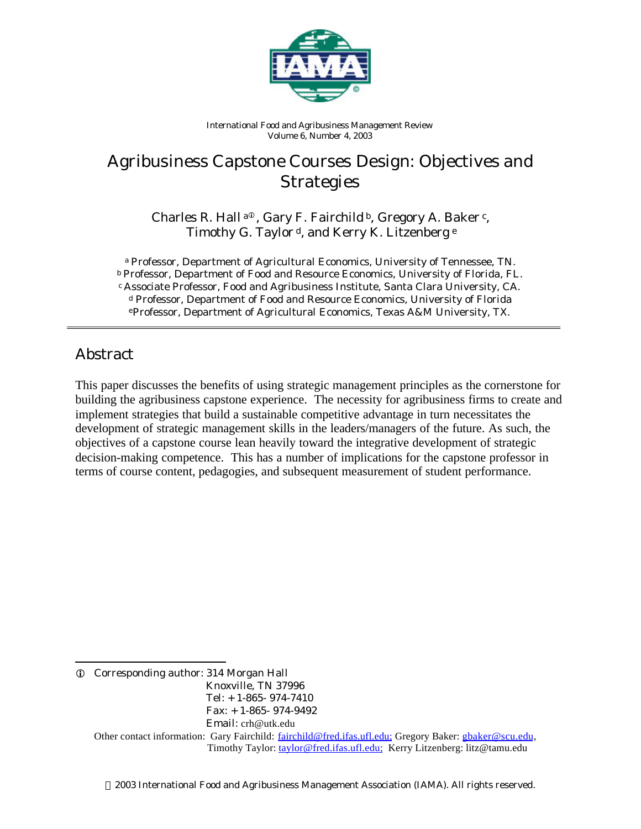

*International Food and Agribusiness Management Review Volume 6, Number 4, 2003*

# Agribusiness Capstone Courses Design: Objectives and Strategies

Charles R. Hall<sup>a®</sup>, Gary F. Fairchild<sup>b</sup>, Gregory A. Baker<sup>c</sup>, Timothy G. Taylor<sup>d</sup>, and Kerry K. Litzenberg<sup>e</sup>

*<sup>a</sup> Professor, Department of Agricultural Economics, University of Tennessee, TN. <sup>b</sup> Professor, Department of Food and Resource Economics, University of Florida, FL. <sup>c</sup> Associate Professor, Food and Agribusiness Institute, Santa Clara University, CA. <sup>d</sup> Professor, Department of Food and Resource Economics, University of Florida <sup>e</sup>Professor, Department of Agricultural Economics, Texas A&M University, TX.*

### Abstract

This paper discusses the benefits of using strategic management principles as the cornerstone for building the agribusiness capstone experience. The necessity for agribusiness firms to create and implement strategies that build a sustainable competitive advantage in turn necessitates the development of strategic management skills in the leaders/managers of the future. As such, the objectives of a capstone course lean heavily toward the integrative development of strategic decision-making competence. This has a number of implications for the capstone professor in terms of course content, pedagogies, and subsequent measurement of student performance.

l i Corresponding author: 314 Morgan Hall Knoxville, TN 37996 Tel: + 1-865- 974-7410 Fax: + 1-865- 974-9492 Email: crh@utk.edu Other contact information: Gary Fairchild: fairchild@fred.ifas.ufl.edu; Gregory Baker: gbaker@scu.edu, Timothy Taylor: taylor@fred.ifas.ufl.edu; Kerry Litzenberg: litz@tamu.edu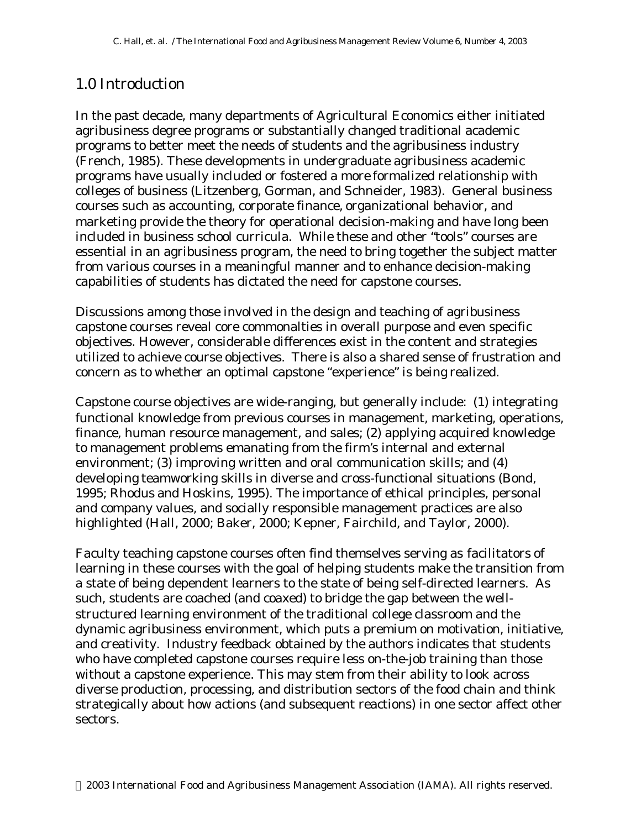### 1.0 Introduction

In the past decade, many departments of Agricultural Economics either initiated agribusiness degree programs or substantially changed traditional academic programs to better meet the needs of students and the agribusiness industry (French, 1985). These developments in undergraduate agribusiness academic programs have usually included or fostered a more formalized relationship with colleges of business (Litzenberg, Gorman, and Schneider, 1983). General business courses such as accounting, corporate finance, organizational behavior, and marketing provide the theory for operational decision-making and have long been included in business school curricula. While these and other "tools" courses are essential in an agribusiness program, the need to bring together the subject matter from various courses in a meaningful manner and to enhance decision-making capabilities of students has dictated the need for capstone courses.

Discussions among those involved in the design and teaching of agribusiness capstone courses reveal core commonalties in overall purpose and even specific objectives. However, considerable differences exist in the content and strategies utilized to achieve course objectives. There is also a shared sense of frustration and concern as to whether an optimal capstone "experience" is being realized.

Capstone course objectives are wide-ranging, but generally include: (1) integrating functional knowledge from previous courses in management, marketing, operations, finance, human resource management, and sales; (2) applying acquired knowledge to management problems emanating from the firm's internal and external environment; (3) improving written and oral communication skills; and (4) developing teamworking skills in diverse and cross-functional situations (Bond, 1995; Rhodus and Hoskins, 1995). The importance of ethical principles, personal and company values, and socially responsible management practices are also highlighted (Hall, 2000; Baker, 2000; Kepner, Fairchild, and Taylor, 2000).

Faculty teaching capstone courses often find themselves serving as *facilitators* of learning in these courses with the goal of helping students make the transition from a state of being dependent learners to the state of being self-directed learners. As such, students are coached (and coaxed) to bridge the gap between the wellstructured learning environment of the traditional college classroom and the dynamic agribusiness environment, which puts a premium on motivation, initiative, and creativity. Industry feedback obtained by the authors indicates that students who have completed capstone courses require less on-the-job training than those without a capstone experience. This may stem from their ability to look across diverse production, processing, and distribution sectors of the food chain and think strategically about how actions (and subsequent reactions) in one sector affect other sectors.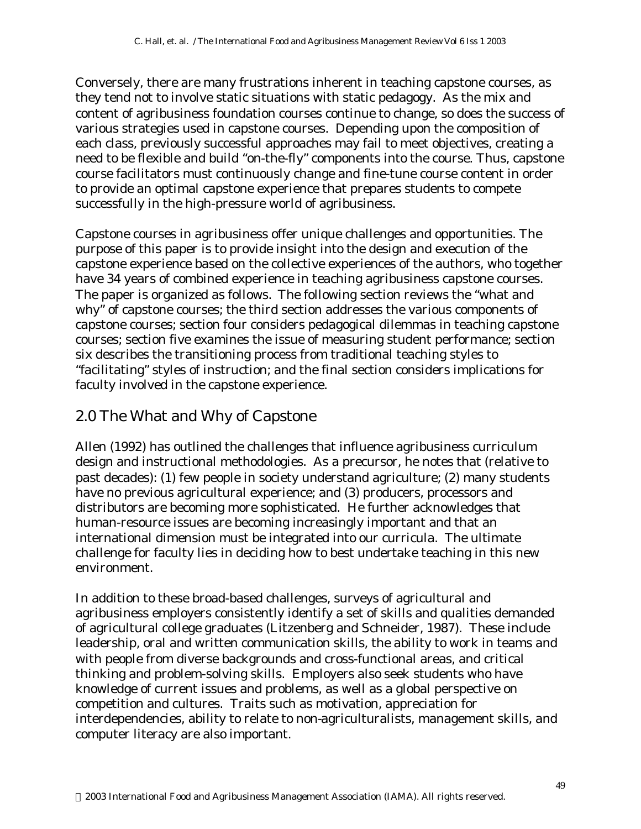Conversely, there are many frustrations inherent in teaching capstone courses, as they tend not to involve static situations with static pedagogy. As the mix and content of agribusiness foundation courses continue to change, so does the success of various strategies used in capstone courses. Depending upon the composition of each class, previously successful approaches may fail to meet objectives, creating a need to be flexible and build "on-the-fly" components into the course. Thus, capstone course facilitators must continuously change and fine-tune course content in order to provide an optimal capstone experience that prepares students to compete successfully in the high-pressure world of agribusiness.

Capstone courses in agribusiness offer unique challenges and opportunities. The purpose of this paper is to provide insight into the design and execution of the capstone experience based on the collective experiences of the authors, who together have 34 years of combined experience in teaching agribusiness capstone courses. The paper is organized as follows. The following section reviews the "what and why" of capstone courses; the third section addresses the various components of capstone courses; section four considers pedagogical dilemmas in teaching capstone courses; section five examines the issue of measuring student performance; section six describes the transitioning process from traditional teaching styles to "facilitating" styles of instruction; and the final section considers implications for faculty involved in the capstone experience.

### 2.0 The What and Why of Capstone

Allen (1992) has outlined the challenges that influence agribusiness curriculum design and instructional methodologies. As a precursor, he notes that (relative to past decades): (1) few people in society understand agriculture; (2) many students have no previous agricultural experience; and (3) producers, processors and distributors are becoming more sophisticated. He further acknowledges that human-resource issues are becoming increasingly important and that an international dimension must be integrated into our curricula. The ultimate challenge for faculty lies in deciding how to best undertake teaching in this new environment.

In addition to these broad-based challenges, surveys of agricultural and agribusiness employers consistently identify a set of skills and qualities demanded of agricultural college graduates (Litzenberg and Schneider, 1987). These include leadership, oral and written communication skills, the ability to work in teams and with people from diverse backgrounds and cross-functional areas, and critical thinking and problem-solving skills. Employers also seek students who have knowledge of current issues and problems, as well as a global perspective on competition and cultures. Traits such as motivation, appreciation for interdependencies, ability to relate to non-agriculturalists, management skills, and computer literacy are also important.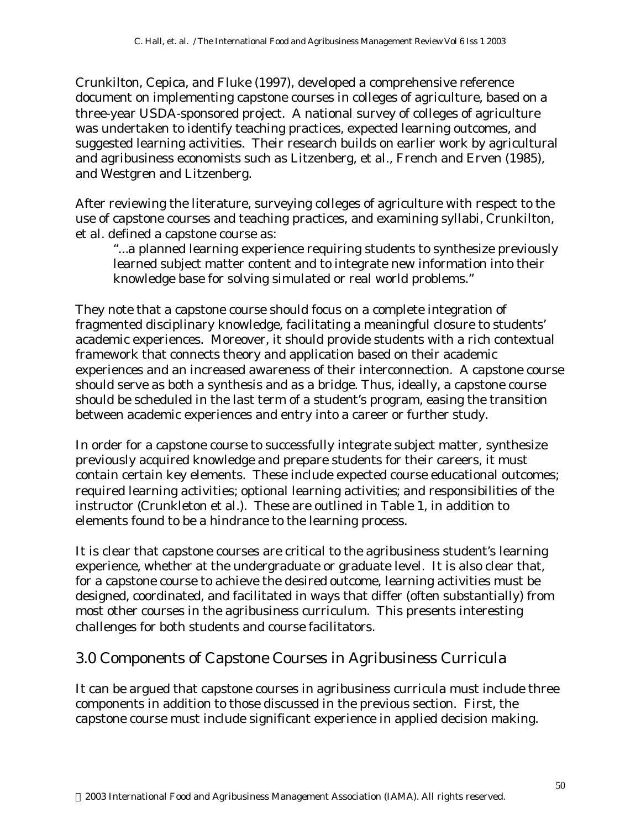Crunkilton, Cepica, and Fluke (1997), developed a comprehensive reference document on implementing capstone courses in colleges of agriculture, based on a three-year USDA-sponsored project. A national survey of colleges of agriculture was undertaken to identify teaching practices, expected learning outcomes, and suggested learning activities. Their research builds on earlier work by agricultural and agribusiness economists such as Litzenberg, et al., French and Erven (1985), and Westgren and Litzenberg.

After reviewing the literature, surveying colleges of agriculture with respect to the use of capstone courses and teaching practices, and examining syllabi, Crunkilton, et al. defined a capstone course as:

*"...a planned learning experience requiring students to synthesize previously learned subject matter content and to integrate new information into their knowledge base for solving simulated or real world problems."*

They note that a capstone course should focus on a complete integration of fragmented disciplinary knowledge, facilitating a meaningful closure to students' academic experiences. Moreover, it should provide students with a rich contextual framework that connects theory and application based on their academic experiences and an increased awareness of their interconnection. A capstone course should serve as both a synthesis and as a bridge. Thus, ideally, a capstone course should be scheduled in the last term of a student's program, easing the transition between academic experiences and entry into a career or further study.

In order for a capstone course to successfully integrate subject matter, synthesize previously acquired knowledge and prepare students for their careers, it must contain certain key elements. These include expected course educational outcomes; required learning activities; optional learning activities; and responsibilities of the instructor (Crunkleton et al.). These are outlined in Table 1, in addition to elements found to be a hindrance to the learning process.

It is clear that capstone courses are critical to the agribusiness student's learning experience, whether at the undergraduate or graduate level. It is also clear that, for a capstone course to achieve the desired outcome, learning activities must be designed, coordinated, and facilitated in ways that differ (often substantially) from most other courses in the agribusiness curriculum. This presents interesting challenges for both students and course facilitators.

### 3.0 Components of Capstone Courses in Agribusiness Curricula

It can be argued that capstone courses in agribusiness curricula must include three components in addition to those discussed in the previous section. First, the capstone course must include significant experience in applied decision making.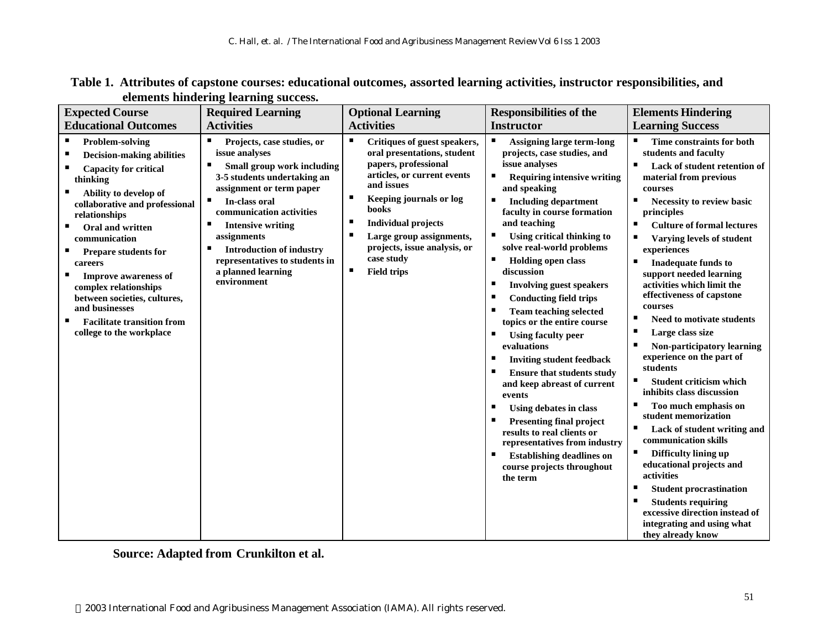| <b>Expected Course</b>                                                                                                                                                                                                                                                                                                                                                                                                                                        | <b>Required Learning</b>                                                                                                                                                                                                                                                                                                                               | <b>Optional Learning</b>                                                                                                                                                                                                                                                                                                    | <b>Responsibilities of the</b>                                                                                                                                                                                                                                                                                                                                                                                                                                                                                                                                                                                                                                                                                                                                                                                                                                                            | <b>Elements Hindering</b>                                                                                                                                                                                                                                                                                                                                                                                                                                                                                                                                                                                                                                                                                                                                                                                                                                                                                                                                                   |
|---------------------------------------------------------------------------------------------------------------------------------------------------------------------------------------------------------------------------------------------------------------------------------------------------------------------------------------------------------------------------------------------------------------------------------------------------------------|--------------------------------------------------------------------------------------------------------------------------------------------------------------------------------------------------------------------------------------------------------------------------------------------------------------------------------------------------------|-----------------------------------------------------------------------------------------------------------------------------------------------------------------------------------------------------------------------------------------------------------------------------------------------------------------------------|-------------------------------------------------------------------------------------------------------------------------------------------------------------------------------------------------------------------------------------------------------------------------------------------------------------------------------------------------------------------------------------------------------------------------------------------------------------------------------------------------------------------------------------------------------------------------------------------------------------------------------------------------------------------------------------------------------------------------------------------------------------------------------------------------------------------------------------------------------------------------------------------|-----------------------------------------------------------------------------------------------------------------------------------------------------------------------------------------------------------------------------------------------------------------------------------------------------------------------------------------------------------------------------------------------------------------------------------------------------------------------------------------------------------------------------------------------------------------------------------------------------------------------------------------------------------------------------------------------------------------------------------------------------------------------------------------------------------------------------------------------------------------------------------------------------------------------------------------------------------------------------|
| <b>Educational Outcomes</b>                                                                                                                                                                                                                                                                                                                                                                                                                                   | <b>Activities</b>                                                                                                                                                                                                                                                                                                                                      | <b>Activities</b>                                                                                                                                                                                                                                                                                                           | <b>Instructor</b>                                                                                                                                                                                                                                                                                                                                                                                                                                                                                                                                                                                                                                                                                                                                                                                                                                                                         | <b>Learning Success</b>                                                                                                                                                                                                                                                                                                                                                                                                                                                                                                                                                                                                                                                                                                                                                                                                                                                                                                                                                     |
| л<br><b>Problem-solving</b><br>п<br><b>Decision-making abilities</b><br><b>Capacity for critical</b><br>thinking<br>Ability to develop of<br>collaborative and professional<br>relationships<br><b>Oral and written</b><br>communication<br><b>Prepare students for</b><br>careers<br><b>Improve awareness of</b><br>complex relationships<br>between societies, cultures,<br>and businesses<br><b>Facilitate transition from</b><br>college to the workplace | п<br>Projects, case studies, or<br>issue analyses<br>Small group work including<br>3-5 students undertaking an<br>assignment or term paper<br>п<br>In-class oral<br>communication activities<br>Е<br><b>Intensive writing</b><br>assignments<br><b>Introduction of industry</b><br>representatives to students in<br>a planned learning<br>environment | п<br>Critiques of guest speakers,<br>oral presentations, student<br>papers, professional<br>articles, or current events<br>and issues<br>ш<br>Keeping journals or log<br>books<br>п<br><b>Individual projects</b><br>л<br>Large group assignments,<br>projects, issue analysis, or<br>case study<br>п<br><b>Field trips</b> | п<br><b>Assigning large term-long</b><br>projects, case studies, and<br>issue analyses<br>п<br><b>Requiring intensive writing</b><br>and speaking<br>п<br><b>Including department</b><br>faculty in course formation<br>and teaching<br>Using critical thinking to<br>п<br>solve real-world problems<br>п<br><b>Holding open class</b><br>discussion<br><b>Involving guest speakers</b><br>п<br><b>Conducting field trips</b><br>п<br><b>Team teaching selected</b><br>topics or the entire course<br><b>Using faculty peer</b><br>evaluations<br>п<br><b>Inviting student feedback</b><br>п<br><b>Ensure that students study</b><br>and keep abreast of current<br>events<br>Using debates in class<br><b>Presenting final project</b><br>results to real clients or<br>representatives from industry<br><b>Establishing deadlines on</b><br>п<br>course projects throughout<br>the term | ٠<br>Time constraints for both<br>students and faculty<br>п<br>Lack of student retention of<br>material from previous<br>courses<br>п<br>Necessity to review basic<br>principles<br><b>Culture of formal lectures</b><br>п<br>п<br>Varying levels of student<br>experiences<br>Inadequate funds to<br>п<br>support needed learning<br>activities which limit the<br>effectiveness of capstone<br>courses<br><b>Need to motivate students</b><br>п<br>Large class size<br>Non-participatory learning<br>п<br>experience on the part of<br>students<br>п<br><b>Student criticism which</b><br>inhibits class discussion<br>Too much emphasis on<br>п<br>student memorization<br>п<br>Lack of student writing and<br>communication skills<br>Difficulty lining up<br>п<br>educational projects and<br>activities<br>Е<br><b>Student procrastination</b><br><b>Students requiring</b><br>п<br>excessive direction instead of<br>integrating and using what<br>they already know |

**Table 1. Attributes of capstone courses: educational outcomes, assorted learning activities, instructor responsibilities, and elements hindering learning success.**

**Source: Adapted from Crunkilton et al.**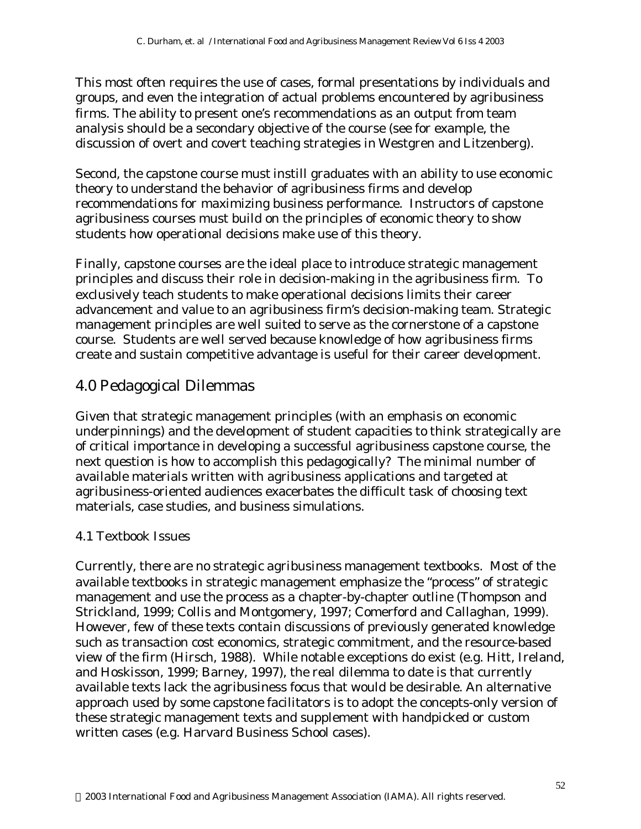This most often requires the use of cases, formal presentations by individuals and groups, and even the integration of actual problems encountered by agribusiness firms. The ability to present one's recommendations as an output from team analysis should be a secondary objective of the course (see for example, the discussion of overt and covert teaching strategies in Westgren and Litzenberg).

Second, the capstone course must instill graduates with an ability to use economic theory to understand the behavior of agribusiness firms and develop recommendations for maximizing business performance. Instructors of capstone agribusiness courses must build on the principles of economic theory to show students how operational decisions make use of this theory.

Finally, capstone courses are the ideal place to introduce strategic management principles and discuss their role in decision-making in the agribusiness firm. To exclusively teach students to make operational decisions limits their career advancement and value to an agribusiness firm's decision-making team. Strategic management principles are well suited to serve as the cornerstone of a capstone course. Students are well served because knowledge of how agribusiness firms create and sustain competitive advantage is useful for their career development.

## 4.0 Pedagogical Dilemmas

Given that strategic management principles (with an emphasis on economic underpinnings) and the development of student capacities to think strategically are of critical importance in developing a successful agribusiness capstone course, the next question is how to accomplish this pedagogically? The minimal number of available materials written with agribusiness applications and targeted at agribusiness-oriented audiences exacerbates the difficult task of choosing text materials, case studies, and business simulations.

### *4.1 Textbook Issues*

Currently, there are no strategic *agribusiness* management textbooks. Most of the available textbooks in strategic management emphasize the "process" of strategic management and use the process as a chapter-by-chapter outline (Thompson and Strickland, 1999; Collis and Montgomery, 1997; Comerford and Callaghan, 1999). However, few of these texts contain discussions of previously generated knowledge such as transaction cost economics, strategic commitment, and the resource-based view of the firm (Hirsch, 1988). While notable exceptions do exist (e.g. Hitt, Ireland, and Hoskisson, 1999; Barney, 1997), the real dilemma to date is that currently available texts lack the agribusiness focus that would be desirable. An alternative approach used by some capstone facilitators is to adopt the concepts-only version of these strategic management texts and supplement with handpicked or custom written cases (e.g. Harvard Business School cases).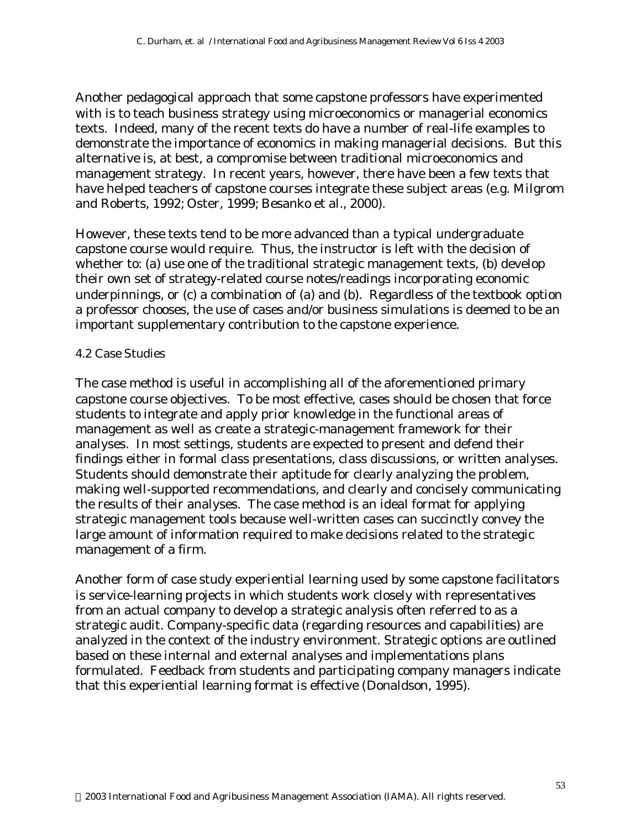Another pedagogical approach that some capstone professors have experimented with is to teach business strategy using microeconomics or managerial economics texts. Indeed, many of the recent texts do have a number of real-life examples to demonstrate the importance of economics in making managerial decisions. But this alternative is, at best, a compromise between traditional microeconomics and management strategy. In recent years, however, there have been a few texts that have helped teachers of capstone courses integrate these subject areas (e.g. Milgrom and Roberts, 1992; Oster, 1999; Besanko et al., 2000).

However, these texts tend to be more advanced than a typical undergraduate capstone course would require. Thus, the instructor is left with the decision of whether to: (a) use one of the traditional strategic management texts, (b) develop their own set of strategy-related course notes/readings incorporating economic underpinnings, or (c) a combination of (a) and (b). Regardless of the textbook option a professor chooses, the use of cases and/or business simulations is deemed to be an important supplementary contribution to the capstone experience.

#### *4.2 Case Studies*

The case method is useful in accomplishing all of the aforementioned primary capstone course objectives. To be most effective, cases should be chosen that force students to integrate and apply prior knowledge in the functional areas of management as well as create a strategic-management framework for their analyses. In most settings, students are expected to present and defend their findings either in formal class presentations, class discussions, or written analyses. Students should demonstrate their aptitude for clearly analyzing the problem, making well-supported recommendations, and clearly and concisely communicating the results of their analyses. The case method is an ideal format for applying strategic management tools because well-written cases can succinctly convey the large amount of information required to make decisions related to the strategic management of a firm.

Another form of case study experiential learning used by some capstone facilitators is service-learning projects in which students work closely with representatives from an actual company to develop a strategic analysis often referred to as a strategic audit. Company-specific data (regarding resources and capabilities) are analyzed in the context of the industry environment. Strategic options are outlined based on these internal and external analyses and implementations plans formulated. Feedback from students and participating company managers indicate that this experiential learning format is effective (Donaldson, 1995).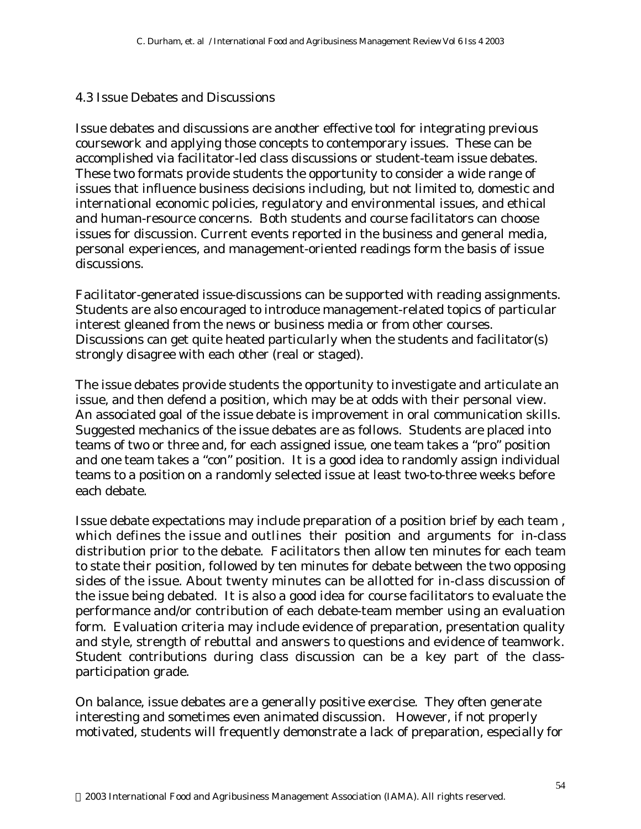#### *4.3 Issue Debates and Discussions*

Issue debates and discussions are another effective tool for integrating previous coursework and applying those concepts to contemporary issues. These can be accomplished via facilitator-led class discussions or student-team issue debates. These two formats provide students the opportunity to consider a wide range of issues that influence business decisions including, but not limited to, domestic and international economic policies, regulatory and environmental issues, and ethical and human-resource concerns. Both students and course facilitators can choose issues for discussion. Current events reported in the business and general media, personal experiences, and management-oriented readings form the basis of issue discussions.

Facilitator-generated issue-discussions can be supported with reading assignments. Students are also encouraged to introduce management-related topics of particular interest gleaned from the news or business media or from other courses. Discussions can get quite heated particularly when the students and facilitator(s) strongly disagree with each other (real or staged).

The issue debates provide students the opportunity to investigate and articulate an issue, and then defend a position, which may be at odds with their personal view. An associated goal of the issue debate is improvement in oral communication skills. Suggested mechanics of the issue debates are as follows. Students are placed into teams of two or three and, for each assigned issue, one team takes a "pro" position and one team takes a "con" position. It is a good idea to randomly assign individual teams to a position on a randomly selected issue at least two-to-three weeks before each debate.

Issue debate expectations may include preparation of a position brief by each team , which defines the issue and outlines their position and arguments for in-class distribution prior to the debate. Facilitators then allow ten minutes for each team to state their position, followed by ten minutes for debate between the two opposing sides of the issue. About twenty minutes can be allotted for in-class discussion of the issue being debated. It is also a good idea for course facilitators to evaluate the performance and/or contribution of each debate-team member using an evaluation form. Evaluation criteria may include evidence of preparation, presentation quality and style, strength of rebuttal and answers to questions and evidence of teamwork. Student contributions during class discussion can be a key part of the classparticipation grade.

On balance, issue debates are a generally positive exercise. They often generate interesting and sometimes even animated discussion. However, if not properly motivated, students will frequently demonstrate a lack of preparation, especially for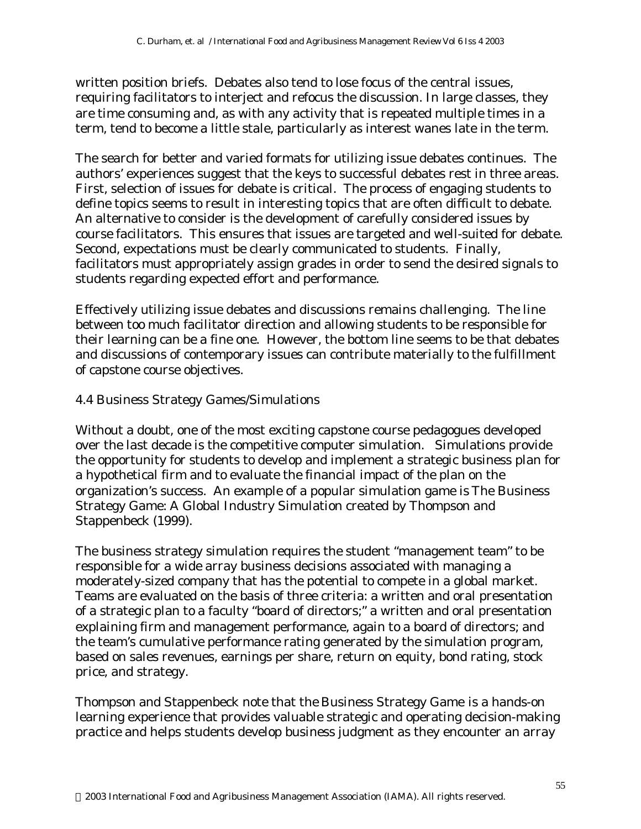written position briefs. Debates also tend to lose focus of the central issues, requiring facilitators to interject and refocus the discussion. In large classes, they are time consuming and, as with any activity that is repeated multiple times in a term, tend to become a little stale, particularly as interest wanes late in the term.

The search for better and varied formats for utilizing issue debates continues. The authors' experiences suggest that the keys to successful debates rest in three areas. First, selection of issues for debate is critical. The process of engaging students to define topics seems to result in interesting topics that are often difficult to debate. An alternative to consider is the development of carefully considered issues by course facilitators. This ensures that issues are targeted and well-suited for debate. Second, expectations must be clearly communicated to students. Finally, facilitators must appropriately assign grades in order to send the desired signals to students regarding expected effort and performance.

Effectively utilizing issue debates and discussions remains challenging. The line between too much facilitator direction and allowing students to be responsible for their learning can be a fine one. However, the bottom line seems to be that debates and discussions of contemporary issues can contribute materially to the fulfillment of capstone course objectives.

#### *4.4 Business Strategy Games/Simulations*

Without a doubt, one of the most exciting capstone course pedagogues developed over the last decade is the competitive computer simulation. Simulations provide the opportunity for students to develop and implement a strategic business plan for a hypothetical firm and to evaluate the financial impact of the plan on the organization's success. An example of a popular simulation game is *The Business Strategy Game: A Global Industry Simulation* created by Thompson and Stappenbeck (1999).

The business strategy simulation requires the student "management team" to be responsible for a wide array business decisions associated with managing a moderately-sized company that has the potential to compete in a global market. Teams are evaluated on the basis of three criteria: a written and oral presentation of a strategic plan to a faculty "board of directors;" a written and oral presentation explaining firm and management performance, again to a board of directors; and the team's cumulative performance rating generated by the simulation program, based on sales revenues, earnings per share, return on equity, bond rating, stock price, and strategy.

Thompson and Stappenbeck note that the *Business Strategy Game* is a hands-on learning experience that provides valuable strategic and operating decision-making practice and helps students develop business judgment as they encounter an array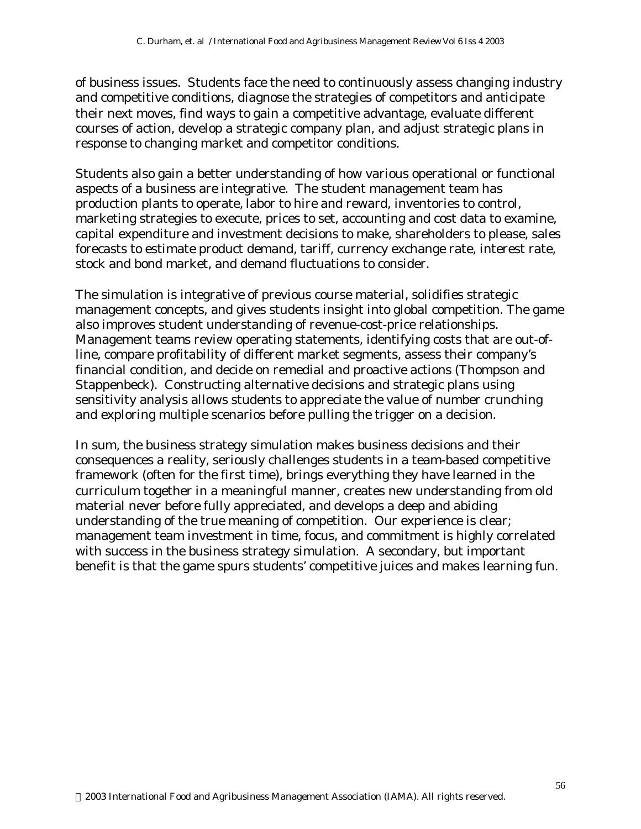of business issues. Students face the need to continuously assess changing industry and competitive conditions, diagnose the strategies of competitors and anticipate their next moves, find ways to gain a competitive advantage, evaluate different courses of action, develop a strategic company plan, and adjust strategic plans in response to changing market and competitor conditions.

Students also gain a better understanding of how various operational or functional aspects of a business are integrative. The student management team has production plants to operate, labor to hire and reward, inventories to control, marketing strategies to execute, prices to set, accounting and cost data to examine, capital expenditure and investment decisions to make, shareholders to please, sales forecasts to estimate product demand, tariff, currency exchange rate, interest rate, stock and bond market, and demand fluctuations to consider.

The simulation is integrative of previous course material, solidifies strategic management concepts, and gives students insight into global competition. The game also improves student understanding of revenue-cost-price relationships. Management teams review operating statements, identifying costs that are out-ofline, compare profitability of different market segments, assess their company's financial condition, and decide on remedial and proactive actions (Thompson and Stappenbeck). Constructing alternative decisions and strategic plans using sensitivity analysis allows students to appreciate the value of number crunching and exploring multiple scenarios before pulling the trigger on a decision.

In sum, the business strategy simulation makes business decisions and their consequences a reality, seriously challenges students in a team-based competitive framework (often for the first time), brings everything they have learned in the curriculum together in a meaningful manner, creates new understanding from old material never before fully appreciated, and develops a deep and abiding understanding of the true meaning of competition. Our experience is clear; management team investment in time, focus, and commitment is highly correlated with success in the business strategy simulation. A secondary, but important benefit is that the game spurs students' competitive juices and makes learning fun.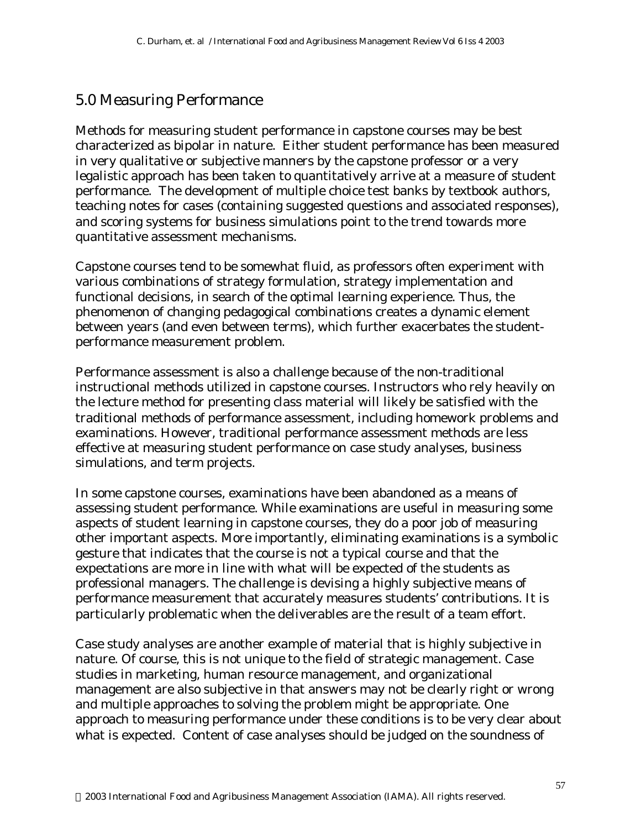### 5.0 Measuring Performance

Methods for measuring student performance in capstone courses may be best characterized as bipolar in nature. Either student performance has been measured in very qualitative or subjective manners by the capstone professor or a very legalistic approach has been taken to quantitatively arrive at a measure of student performance. The development of multiple choice test banks by textbook authors, teaching notes for cases (containing suggested questions and associated responses), and scoring systems for business simulations point to the trend towards more quantitative assessment mechanisms.

Capstone courses tend to be somewhat fluid, as professors often experiment with various combinations of strategy formulation, strategy implementation and functional decisions, in search of the optimal learning experience. Thus, the phenomenon of changing pedagogical combinations creates a dynamic element between years (and even between terms), which further exacerbates the studentperformance measurement problem.

Performance assessment is also a challenge because of the non-traditional instructional methods utilized in capstone courses. Instructors who rely heavily on the lecture method for presenting class material will likely be satisfied with the traditional methods of performance assessment, including homework problems and examinations. However, traditional performance assessment methods are less effective at measuring student performance on case study analyses, business simulations, and term projects.

In some capstone courses, examinations have been abandoned as a means of assessing student performance. While examinations are useful in measuring some aspects of student learning in capstone courses, they do a poor job of measuring other important aspects. More importantly, eliminating examinations is a symbolic gesture that indicates that the course is not a typical course and that the expectations are more in line with what will be expected of the students as professional managers. The challenge is devising a highly subjective means of performance measurement that accurately measures students' contributions. It is particularly problematic when the deliverables are the result of a team effort.

Case study analyses are another example of material that is highly subjective in nature. Of course, this is not unique to the field of strategic management. Case studies in marketing, human resource management, and organizational management are also subjective in that answers may not be clearly right or wrong and multiple approaches to solving the problem might be appropriate. One approach to measuring performance under these conditions is to be very clear about what is expected. Content of case analyses should be judged on the soundness of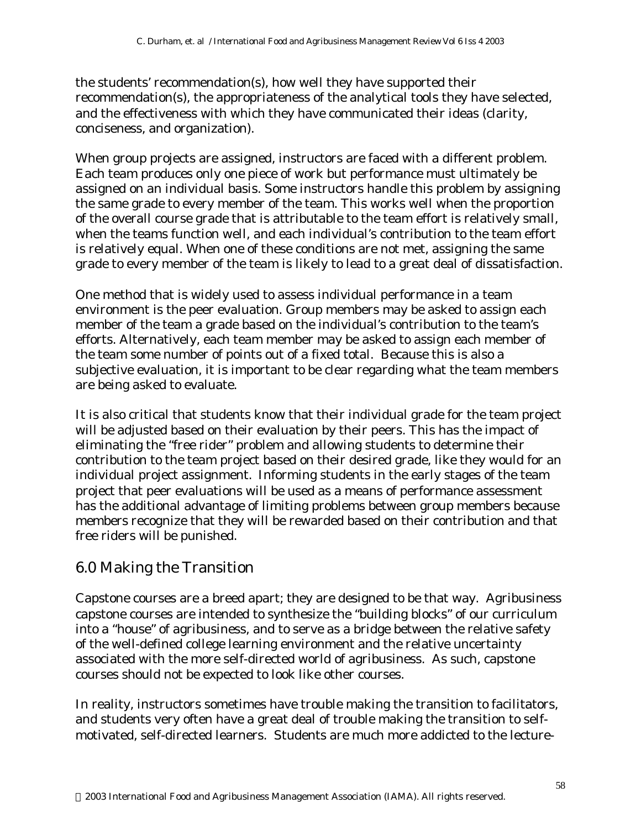the students' recommendation(s), how well they have supported their recommendation(s), the appropriateness of the analytical tools they have selected, and the effectiveness with which they have communicated their ideas (clarity, conciseness, and organization).

When group projects are assigned, instructors are faced with a different problem. Each team produces only one piece of work but performance must ultimately be assigned on an individual basis. Some instructors handle this problem by assigning the same grade to every member of the team. This works well when the proportion of the overall course grade that is attributable to the team effort is relatively small, when the teams function well, and each individual's contribution to the team effort is relatively equal. When one of these conditions are not met, assigning the same grade to every member of the team is likely to lead to a great deal of dissatisfaction.

One method that is widely used to assess individual performance in a team environment is the peer evaluation. Group members may be asked to assign each member of the team a grade based on the individual's contribution to the team's efforts. Alternatively, each team member may be asked to assign each member of the team some number of points out of a fixed total. Because this is also a subjective evaluation, it is important to be clear regarding what the team members are being asked to evaluate.

It is also critical that students know that their individual grade for the team project will be adjusted based on their evaluation by their peers. This has the impact of eliminating the "free rider" problem and allowing students to determine their contribution to the team project based on their desired grade, like they would for an individual project assignment. Informing students in the early stages of the team project that peer evaluations will be used as a means of performance assessment has the additional advantage of limiting problems between group members because members recognize that they will be rewarded based on their contribution and that free riders will be punished.

### 6.0 Making the Transition

Capstone courses are a breed apart; they are designed to be that way. Agribusiness capstone courses are intended to synthesize the "building blocks" of our curriculum into a "house" of agribusiness, and to serve as a bridge between the relative safety of the well-defined college learning environment and the relative uncertainty associated with the more self-directed world of agribusiness. As such, capstone courses should not be expected to look like other courses.

In reality, instructors sometimes have trouble making the transition to facilitators, and students very often have a great deal of trouble making the transition to selfmotivated, self-directed learners. Students are much more addicted to the lecture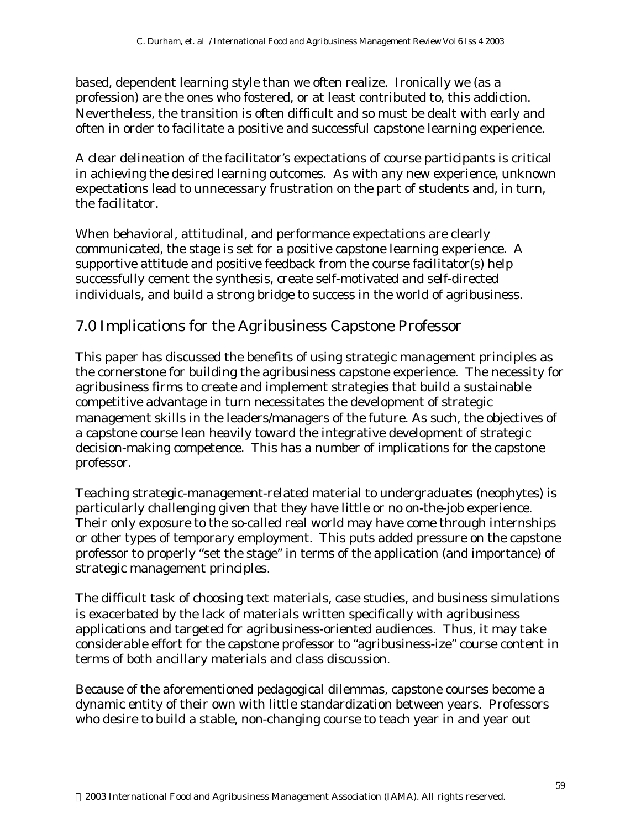based, dependent learning style than we often realize. Ironically we (as a profession) are the ones who fostered, or at least contributed to, this addiction. Nevertheless, the transition is often difficult and so must be dealt with early and often in order to facilitate a positive and successful capstone learning experience.

A clear delineation of the facilitator's expectations of course participants is critical in achieving the desired learning outcomes. As with any new experience, unknown expectations lead to unnecessary frustration on the part of students and, in turn, the facilitator.

When behavioral, attitudinal, and performance expectations are clearly communicated, the stage is set for a positive capstone learning experience. A supportive attitude and positive feedback from the course facilitator(s) help successfully cement the synthesis, create self-motivated and self-directed individuals, and build a strong bridge to success in the world of agribusiness.

### 7.0 Implications for the Agribusiness Capstone Professor

This paper has discussed the benefits of using strategic management principles as the cornerstone for building the agribusiness capstone experience. The necessity for agribusiness firms to create and implement strategies that build a sustainable competitive advantage in turn necessitates the development of strategic management skills in the leaders/managers of the future. As such, the objectives of a capstone course lean heavily toward the integrative development of strategic decision-making competence. This has a number of implications for the capstone professor.

Teaching strategic-management-related material to undergraduates (neophytes) is particularly challenging given that they have little or no on-the-job experience. Their only exposure to the so-called real world may have come through internships or other types of temporary employment. This puts added pressure on the capstone professor to properly "set the stage" in terms of the application (and importance) of strategic management principles.

The difficult task of choosing text materials, case studies, and business simulations is exacerbated by the lack of materials written specifically with agribusiness applications and targeted for agribusiness-oriented audiences. Thus, it may take considerable effort for the capstone professor to "agribusiness-ize" course content in terms of both ancillary materials and class discussion.

Because of the aforementioned pedagogical dilemmas, capstone courses become a dynamic entity of their own with little standardization between years. Professors who desire to build a stable, non-changing course to teach year in and year out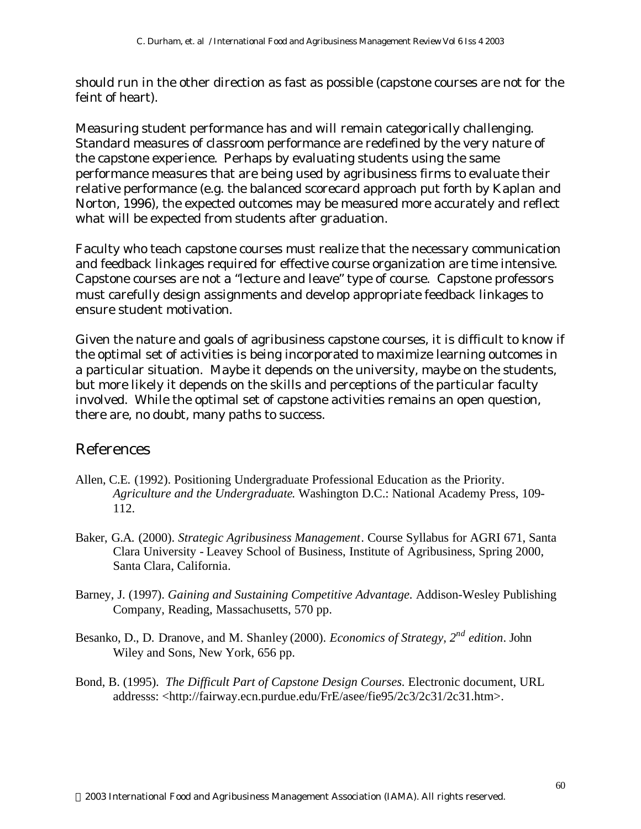should run in the other direction as fast as possible (capstone courses are not for the feint of heart).

Measuring student performance has and will remain categorically challenging. Standard measures of classroom performance are redefined by the very nature of the capstone experience. Perhaps by evaluating students using the same performance measures that are being used by agribusiness firms to evaluate their relative performance (e.g. the balanced scorecard approach put forth by Kaplan and Norton, 1996), the expected outcomes may be measured more accurately and reflect what will be expected from students after graduation.

Faculty who teach capstone courses must realize that the necessary communication and feedback linkages required for effective course organization are time intensive. Capstone courses are not a "lecture and leave" type of course. Capstone professors must carefully design assignments and develop appropriate feedback linkages to ensure student motivation.

Given the nature and goals of agribusiness capstone courses, it is difficult to know if the optimal set of activities is being incorporated to maximize learning outcomes in a particular situation. Maybe it depends on the university, maybe on the students, but more likely it depends on the skills and perceptions of the particular faculty involved. While the optimal set of capstone activities remains an open question, there are, no doubt, many paths to success.

### References

- Allen, C.E. (1992). Positioning Undergraduate Professional Education as the Priority. *Agriculture and the Undergraduate*. Washington D.C.: National Academy Press, 109- 112.
- Baker, G.A. (2000). *Strategic Agribusiness Management*. Course Syllabus for AGRI 671, Santa Clara University - Leavey School of Business, Institute of Agribusiness, Spring 2000, Santa Clara, California.
- Barney, J. (1997). *Gaining and Sustaining Competitive Advantage.* Addison-Wesley Publishing Company, Reading, Massachusetts, 570 pp.
- Besanko, D., D. Dranove, and M. Shanley (2000). *Economics of Strategy, 2nd edition*. John Wiley and Sons, New York, 656 pp.
- Bond, B. (1995). *The Difficult Part of Capstone Design Courses.* Electronic document, URL addresss: <http://fairway.ecn.purdue.edu/FrE/asee/fie95/2c3/2c31/2c31.htm>.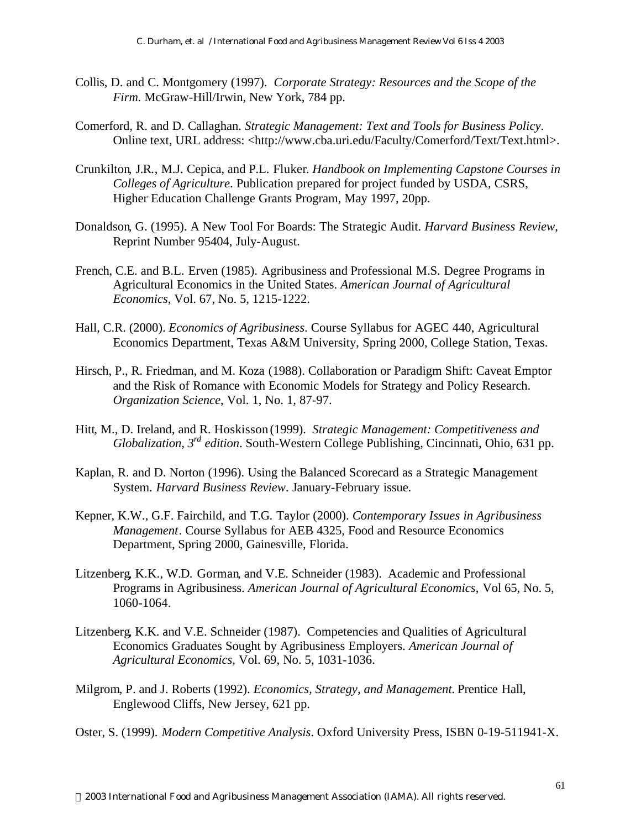- Collis, D. and C. Montgomery (1997). *Corporate Strategy: Resources and the Scope of the Firm.* McGraw-Hill/Irwin, New York, 784 pp.
- Comerford, R. and D. Callaghan. *Strategic Management: Text and Tools for Business Policy*. Online text, URL address: <http://www.cba.uri.edu/Faculty/Comerford/Text/Text.html>.
- Crunkilton, J.R., M.J. Cepica, and P.L. Fluker. *Handbook on Implementing Capstone Courses in Colleges of Agriculture*. Publication prepared for project funded by USDA, CSRS, Higher Education Challenge Grants Program, May 1997, 20pp.
- Donaldson, G. (1995). A New Tool For Boards: The Strategic Audit. *Harvard Business Review*, Reprint Number 95404, July-August.
- French, C.E. and B.L. Erven (1985). Agribusiness and Professional M.S. Degree Programs in Agricultural Economics in the United States. *American Journal of Agricultural Economics*, Vol. 67, No. 5, 1215-1222.
- Hall, C.R. (2000). *Economics of Agribusiness*. Course Syllabus for AGEC 440, Agricultural Economics Department, Texas A&M University, Spring 2000, College Station, Texas.
- Hirsch, P., R. Friedman, and M. Koza (1988). Collaboration or Paradigm Shift: Caveat Emptor and the Risk of Romance with Economic Models for Strategy and Policy Research. *Organization Science*, Vol. 1, No. 1, 87-97.
- Hitt, M., D. Ireland, and R. Hoskisson (1999). *Strategic Management: Competitiveness and Globalization, 3rd edition*. South-Western College Publishing, Cincinnati, Ohio, 631 pp.
- Kaplan, R. and D. Norton (1996). Using the Balanced Scorecard as a Strategic Management System. *Harvard Business Review*. January-February issue.
- Kepner, K.W., G.F. Fairchild, and T.G. Taylor (2000). *Contemporary Issues in Agribusiness Management*. Course Syllabus for AEB 4325, Food and Resource Economics Department, Spring 2000, Gainesville, Florida.
- Litzenberg, K.K., W.D. Gorman, and V.E. Schneider (1983). Academic and Professional Programs in Agribusiness. *American Journal of Agricultural Economics*, Vol 65, No. 5, 1060-1064.
- Litzenberg, K.K. and V.E. Schneider (1987). Competencies and Qualities of Agricultural Economics Graduates Sought by Agribusiness Employers. *American Journal of Agricultural Economics*, Vol. 69, No. 5, 1031-1036.
- Milgrom, P. and J. Roberts (1992). *Economics, Strategy, and Management.* Prentice Hall, Englewood Cliffs, New Jersey, 621 pp.
- Oster, S. (1999). *Modern Competitive Analysis*. Oxford University Press, ISBN 0-19-511941-X.